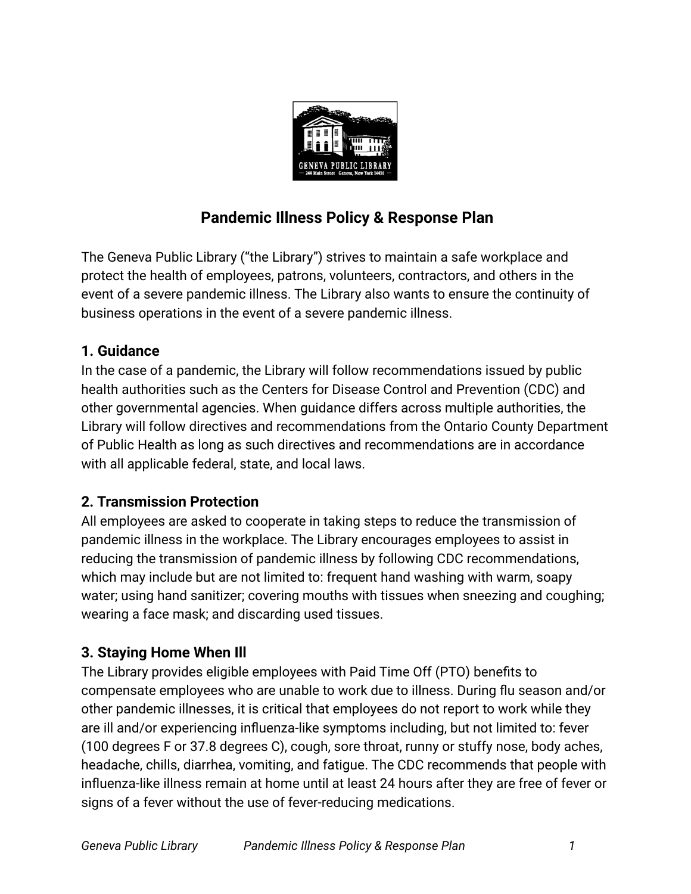

# **Pandemic Illness Policy & Response Plan**

The Geneva Public Library ("the Library") strives to maintain a safe workplace and protect the health of employees, patrons, volunteers, contractors, and others in the event of a severe pandemic illness. The Library also wants to ensure the continuity of business operations in the event of a severe pandemic illness.

# **1. Guidance**

In the case of a pandemic, the Library will follow recommendations issued by public health authorities such as the Centers for Disease Control and Prevention (CDC) and other governmental agencies. When guidance differs across multiple authorities, the Library will follow directives and recommendations from the Ontario County Department of Public Health as long as such directives and recommendations are in accordance with all applicable federal, state, and local laws.

# **2. Transmission Protection**

All employees are asked to cooperate in taking steps to reduce the transmission of pandemic illness in the workplace. The Library encourages employees to assist in reducing the transmission of pandemic illness by following CDC recommendations, which may include but are not limited to: frequent hand washing with warm, soapy water; using hand sanitizer; covering mouths with tissues when sneezing and coughing; wearing a face mask; and discarding used tissues.

# **3. Staying Home When Ill**

The Library provides eligible employees with Paid Time Off (PTO) benefits to compensate employees who are unable to work due to illness. During flu season and/or other pandemic illnesses, it is critical that employees do not report to work while they are ill and/or experiencing influenza-like symptoms including, but not limited to: fever (100 degrees F or 37.8 degrees C), cough, sore throat, runny or stuffy nose, body aches, headache, chills, diarrhea, vomiting, and fatigue. The CDC recommends that people with influenza-like illness remain at home until at least 24 hours after they are free of fever or signs of a fever without the use of fever-reducing medications.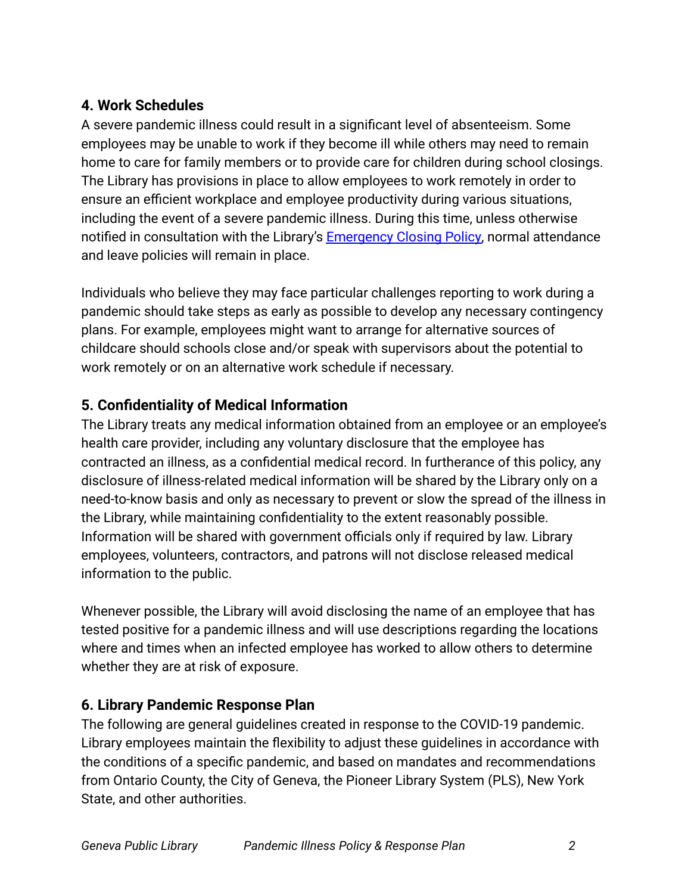# **4. Work Schedules**

A severe pandemic illness could result in a significant level of absenteeism. Some employees may be unable to work if they become ill while others may need to remain home to care for family members or to provide care for children during school closings. The Library has provisions in place to allow employees to work remotely in order to ensure an efficient workplace and employee productivity during various situations, including the event of a severe pandemic illness. During this time, unless otherwise notified in consultation with the Library's Emergency [Closing Policy,](https://www.genevapubliclibrary.net/uploads/4/9/7/8/49788875/emergency_closing_policy.pdf) normal attendance and leave policies will remain in place.

Individuals who believe they may face particular challenges reporting to work during a pandemic should take steps as early as possible to develop any necessary contingency plans. For example, employees might want to arrange for alternative sources of childcare should schools close and/or speak with supervisors about the potential to work remotely or on an alternative work schedule if necessary.

# **5. Confidentiality of Medical Information**

The Library treats any medical information obtained from an employee or an employee's health care provider, including any voluntary disclosure that the employee has contracted an illness, as a confidential medical record. In furtherance of this policy, any disclosure of illness-related medical information will be shared by the Library only on a need-to-know basis and only as necessary to prevent or slow the spread of the illness in the Library, while maintaining confidentiality to the extent reasonably possible. Information will be shared with government officials only if required by law. Library employees, volunteers, contractors, and patrons will not disclose released medical information to the public.

Whenever possible, the Library will avoid disclosing the name of an employee that has tested positive for a pandemic illness and will use descriptions regarding the locations where and times when an infected employee has worked to allow others to determine whether they are at risk of exposure.

# **6. Library Pandemic Response Plan**

The following are general guidelines created in response to the COVID-19 pandemic. Library employees maintain the flexibility to adjust these guidelines in accordance with the conditions of a specific pandemic, and based on mandates and recommendations from Ontario County, the City of Geneva, the Pioneer Library System (PLS), New York State, and other authorities.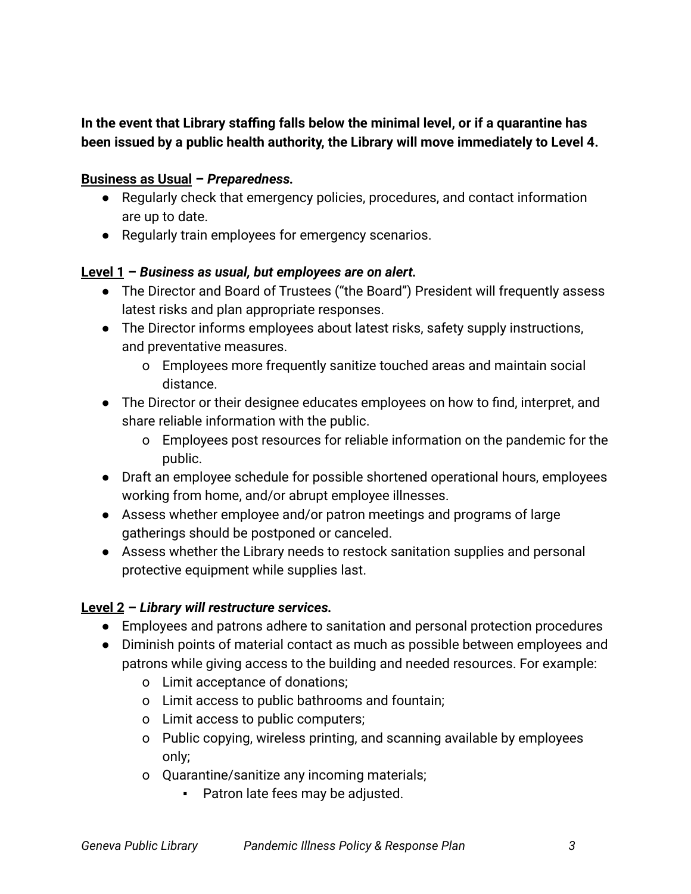# **In the event that Library staffing falls below the minimal level, or if a quarantine has been issued by a public health authority, the Library will move immediately to Level 4.**

#### **Business as Usual –** *Preparedness.*

- Regularly check that emergency policies, procedures, and contact information are up to date.
- Regularly train employees for emergency scenarios.

#### **Level 1 –** *Business as usual, but employees are on alert.*

- The Director and Board of Trustees ("the Board") President will frequently assess latest risks and plan appropriate responses.
- The Director informs employees about latest risks, safety supply instructions, and preventative measures.
	- o Employees more frequently sanitize touched areas and maintain social distance.
- The Director or their designee educates employees on how to find, interpret, and share reliable information with the public.
	- o Employees post resources for reliable information on the pandemic for the public.
- Draft an employee schedule for possible shortened operational hours, employees working from home, and/or abrupt employee illnesses.
- Assess whether employee and/or patron meetings and programs of large gatherings should be postponed or canceled.
- Assess whether the Library needs to restock sanitation supplies and personal protective equipment while supplies last.

# **Level 2 –** *Library will restructure services.*

- Employees and patrons adhere to sanitation and personal protection procedures
- Diminish points of material contact as much as possible between employees and patrons while giving access to the building and needed resources. For example:
	- o Limit acceptance of donations;
	- o Limit access to public bathrooms and fountain;
	- o Limit access to public computers;
	- o Public copying, wireless printing, and scanning available by employees only;
	- o Quarantine/sanitize any incoming materials;
		- Patron late fees may be adjusted.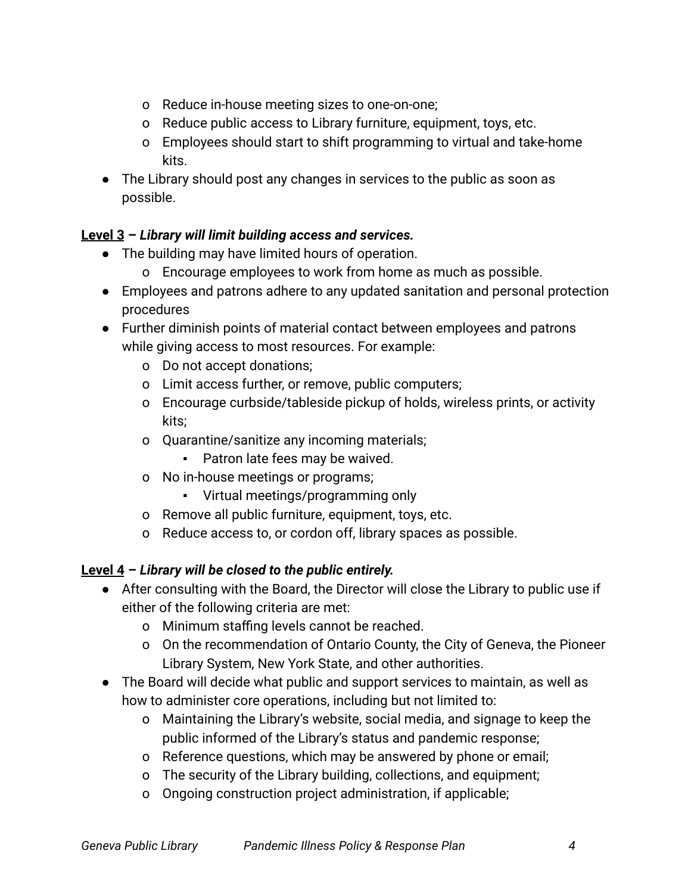- o Reduce in-house meeting sizes to one-on-one;
- o Reduce public access to Library furniture, equipment, toys, etc.
- o Employees should start to shift programming to virtual and take-home kits.
- The Library should post any changes in services to the public as soon as possible.

# **Level 3 –** *Library will limit building access and services.*

- The building may have limited hours of operation.
	- o Encourage employees to work from home as much as possible.
- Employees and patrons adhere to any updated sanitation and personal protection procedures

● Further diminish points of material contact between employees and patrons while giving access to most resources. For example:

- o Do not accept donations;
- o Limit access further, or remove, public computers;
- o Encourage curbside/tableside pickup of holds, wireless prints, or activity kits;
- o Quarantine/sanitize any incoming materials;
	- Patron late fees may be waived.
- o No in-house meetings or programs;
	- Virtual meetings/programming only
- o Remove all public furniture, equipment, toys, etc.
- o Reduce access to, or cordon off, library spaces as possible.

# **Level 4 –** *Library will be closed to the public entirely.*

- After consulting with the Board, the Director will close the Library to public use if either of the following criteria are met:
	- o Minimum staffing levels cannot be reached.
	- o On the recommendation of Ontario County, the City of Geneva, the Pioneer Library System, New York State, and other authorities.
- The Board will decide what public and support services to maintain, as well as how to administer core operations, including but not limited to:
	- o Maintaining the Library's website, social media, and signage to keep the public informed of the Library's status and pandemic response;
	- o Reference questions, which may be answered by phone or email;
	- o The security of the Library building, collections, and equipment;
	- o Ongoing construction project administration, if applicable;